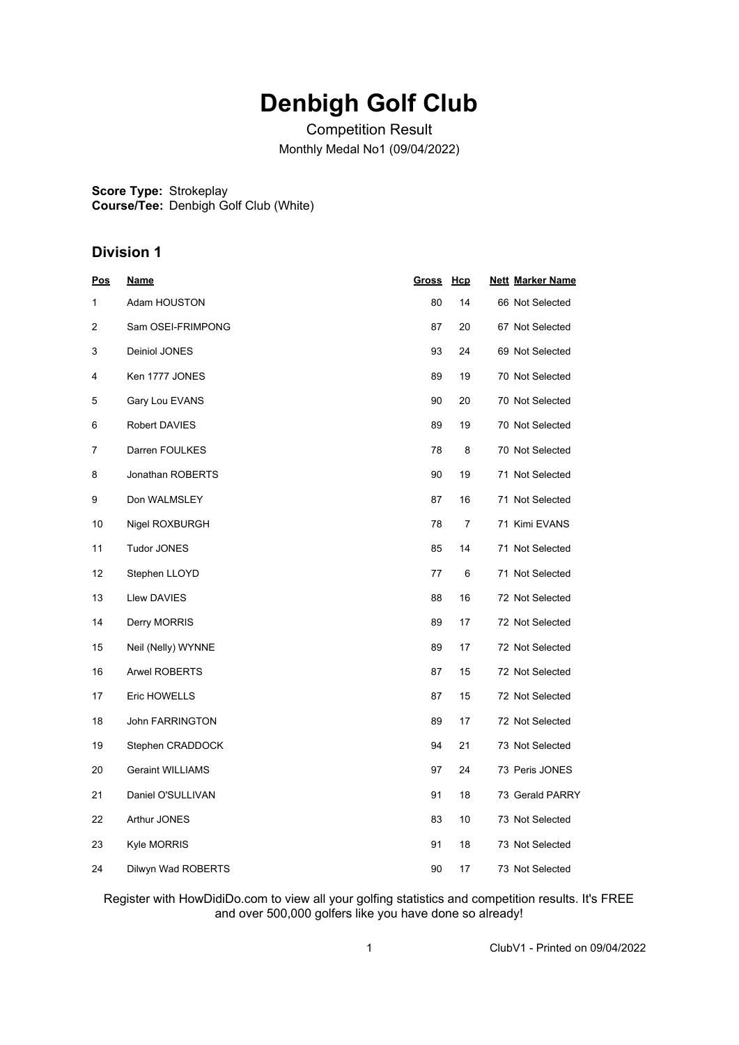## **Denbigh Golf Club**

Competition Result Monthly Medal No1 (09/04/2022)

**Score Type:** Strokeplay **Course/Tee:** Denbigh Golf Club (White)

## **Division 1**

| Pos | <u>Name</u>             | <b>Gross</b> | <u>Hcp</u> | <b>Nett Marker Name</b> |
|-----|-------------------------|--------------|------------|-------------------------|
| 1   | Adam HOUSTON            | 80           | 14         | 66 Not Selected         |
| 2   | Sam OSEI-FRIMPONG       | 87           | 20         | 67 Not Selected         |
| 3   | Deiniol JONES           | 93           | 24         | 69 Not Selected         |
| 4   | Ken 1777 JONES          | 89           | 19         | 70 Not Selected         |
| 5   | Gary Lou EVANS          | 90           | 20         | 70 Not Selected         |
| 6   | Robert DAVIES           | 89           | 19         | 70 Not Selected         |
| 7   | Darren FOULKES          | 78           | 8          | 70 Not Selected         |
| 8   | Jonathan ROBERTS        | 90           | 19         | 71 Not Selected         |
| 9   | Don WALMSLEY            | 87           | 16         | 71 Not Selected         |
| 10  | Nigel ROXBURGH          | 78           | 7          | 71 Kimi EVANS           |
| 11  | <b>Tudor JONES</b>      | 85           | 14         | 71 Not Selected         |
| 12  | Stephen LLOYD           | 77           | 6          | 71 Not Selected         |
| 13  | Llew DAVIES             | 88           | 16         | 72 Not Selected         |
| 14  | Derry MORRIS            | 89           | 17         | 72 Not Selected         |
| 15  | Neil (Nelly) WYNNE      | 89           | 17         | 72 Not Selected         |
| 16  | <b>Arwel ROBERTS</b>    | 87           | 15         | 72 Not Selected         |
| 17  | Eric HOWELLS            | 87           | 15         | 72 Not Selected         |
| 18  | <b>John FARRINGTON</b>  | 89           | 17         | 72 Not Selected         |
| 19  | Stephen CRADDOCK        | 94           | 21         | 73 Not Selected         |
| 20  | <b>Geraint WILLIAMS</b> | 97           | 24         | 73 Peris JONES          |
| 21  | Daniel O'SULLIVAN       | 91           | 18         | 73 Gerald PARRY         |
| 22  | Arthur JONES            | 83           | 10         | 73 Not Selected         |
| 23  | Kyle MORRIS             | 91           | 18         | 73 Not Selected         |
| 24  | Dilwyn Wad ROBERTS      | 90           | 17         | 73 Not Selected         |

Register with HowDidiDo.com to view all your golfing statistics and competition results. It's FREE and over 500,000 golfers like you have done so already!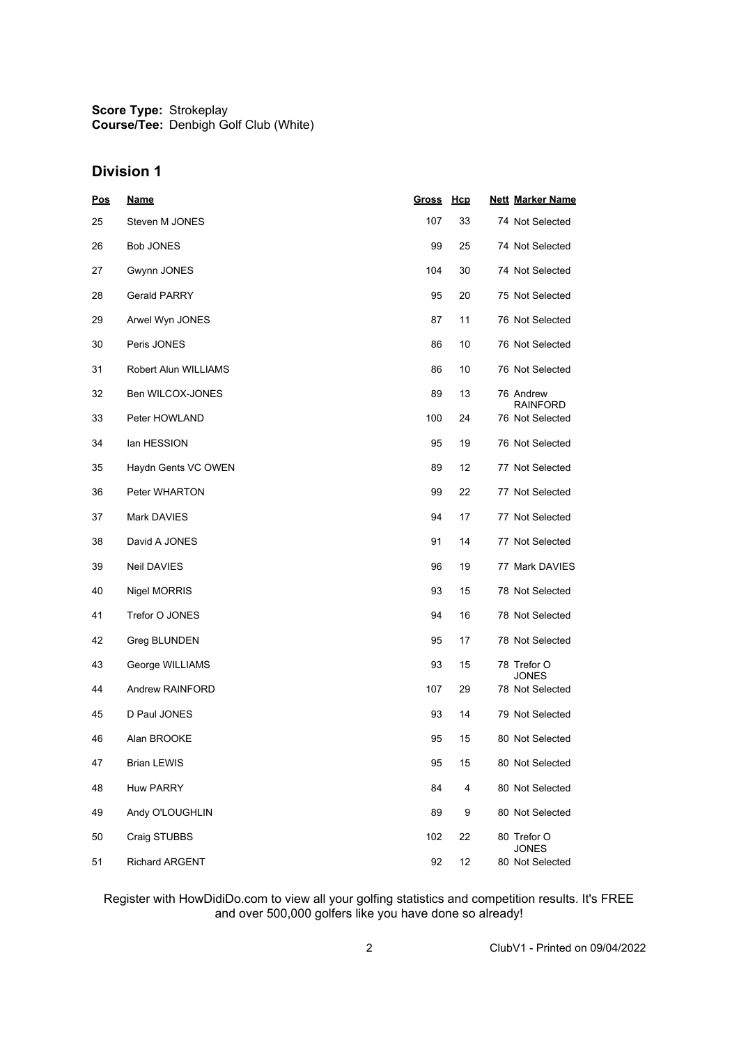**Score Type: Course/Tee:** Strokeplay Denbigh Golf Club (White)

## **Division 1**

| <b>Pos</b> | <u>Name</u>           | <u>Gross</u> | Hcp | <b>Nett Marker Name</b>         |
|------------|-----------------------|--------------|-----|---------------------------------|
| 25         | Steven M JONES        | 107          | 33  | 74 Not Selected                 |
| 26         | Bob JONES             | 99           | 25  | 74 Not Selected                 |
| 27         | Gwynn JONES           | 104          | 30  | 74 Not Selected                 |
| 28         | Gerald PARRY          | 95           | 20  | 75 Not Selected                 |
| 29         | Arwel Wyn JONES       | 87           | 11  | 76 Not Selected                 |
| 30         | Peris JONES           | 86           | 10  | 76 Not Selected                 |
| 31         | Robert Alun WILLIAMS  | 86           | 10  | 76 Not Selected                 |
| 32         | Ben WILCOX-JONES      | 89           | 13  | 76 Andrew<br><b>RAINFORD</b>    |
| 33         | Peter HOWLAND         | 100          | 24  | 76 Not Selected                 |
| 34         | lan HESSION           | 95           | 19  | 76 Not Selected                 |
| 35         | Haydn Gents VC OWEN   | 89           | 12  | 77 Not Selected                 |
| 36         | Peter WHARTON         | 99           | 22  | 77 Not Selected                 |
| 37         | Mark DAVIES           | 94           | 17  | 77 Not Selected                 |
| 38         | David A JONES         | 91           | 14  | 77 Not Selected                 |
| 39         | Neil DAVIES           | 96           | 19  | 77 Mark DAVIES                  |
| 40         | Nigel MORRIS          | 93           | 15  | 78 Not Selected                 |
| 41         | Trefor O JONES        | 94           | 16  | 78 Not Selected                 |
| 42         | Greg BLUNDEN          | 95           | 17  | 78 Not Selected                 |
| 43         | George WILLIAMS       | 93           | 15  | 78 Trefor O<br><b>JONES</b>     |
| 44         | Andrew RAINFORD       | 107          | 29  | 78 Not Selected                 |
| 45         | D Paul JONES          | 93           | 14  | 79 Not Selected                 |
| 46         | Alan BROOKE           | 95           | 15  | 80 Not Selected                 |
| 47         | <b>Brian LEWIS</b>    | 95           | 15  | 80 Not Selected                 |
| 48         | <b>Huw PARRY</b>      | 84           | 4   | 80 Not Selected                 |
| 49         | Andy O'LOUGHLIN       | 89           | 9   | 80 Not Selected                 |
| 50         | Craig STUBBS          | 102          | 22  | 80 Trefor O                     |
| 51         | <b>Richard ARGENT</b> | 92           | 12  | <b>JONES</b><br>80 Not Selected |

Register with HowDidiDo.com to view all your golfing statistics and competition results. It's FREE and over 500,000 golfers like you have done so already!